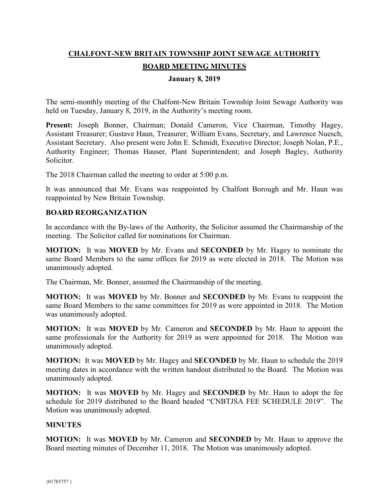# **CHALFONT-NEW BRITAIN TOWNSHIP JOINT SEWAGE AUTHORITY BOARD MEETING MINUTES**

#### **January 8, 2019**

The semi-monthly meeting of the Chalfont-New Britain Township Joint Sewage Authority was held on Tuesday, January 8, 2019, in the Authority's meeting room.

**Present:** Joseph Bonner, Chairman; Donald Cameron, Vice Chairman, Timothy Hagey, Assistant Treasurer; Gustave Haun, Treasurer; William Evans, Secretary, and Lawrence Nuesch, Assistant Secretary. Also present were John E. Schmidt, Executive Director; Joseph Nolan, P.E., Authority Engineer; Thomas Hauser, Plant Superintendent; and Joseph Bagley, Authority Solicitor.

The 2018 Chairman called the meeting to order at 5:00 p.m.

It was announced that Mr. Evans was reappointed by Chalfont Borough and Mr. Haun was reappointed by New Britain Township.

# **BOARD REORGANIZATION**

In accordance with the By-laws of the Authority, the Solicitor assumed the Chairmanship of the meeting. The Solicitor called for nominations for Chairman.

**MOTION:** It was **MOVED** by Mr. Evans and **SECONDED** by Mr. Hagey to nominate the same Board Members to the same offices for 2019 as were elected in 2018. The Motion was unanimously adopted.

The Chairman, Mr. Bonner, assumed the Chairmanship of the meeting.

**MOTION:** It was **MOVED** by Mr. Bonner and **SECONDED** by Mr. Evans to reappoint the same Board Members to the same committees for 2019 as were appointed in 2018. The Motion was unanimously adopted.

**MOTION:** It was **MOVED** by Mr. Cameron and **SECONDED** by Mr. Haun to appoint the same professionals for the Authority for 2019 as were appointed for 2018. The Motion was unanimously adopted.

**MOTION:** It was **MOVED** by Mr. Hagey and **SECONDED** by Mr. Haun to schedule the 2019 meeting dates in accordance with the written handout distributed to the Board. The Motion was unanimously adopted.

**MOTION:** It was **MOVED** by Mr. Hagey and **SECONDED** by Mr. Haun to adopt the fee schedule for 2019 distributed to the Board headed "CNBTJSA FEE SCHEDULE 2019". The Motion was unanimously adopted.

#### **MINUTES**

**MOTION:** It was **MOVED** by Mr. Cameron and **SECONDED** by Mr. Haun to approve the Board meeting minutes of December 11, 2018. The Motion was unanimously adopted.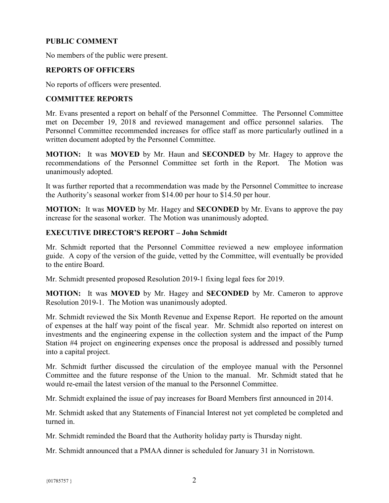### **PUBLIC COMMENT**

No members of the public were present.

# **REPORTS OF OFFICERS**

No reports of officers were presented.

### **COMMITTEE REPORTS**

Mr. Evans presented a report on behalf of the Personnel Committee. The Personnel Committee met on December 19, 2018 and reviewed management and office personnel salaries. The Personnel Committee recommended increases for office staff as more particularly outlined in a written document adopted by the Personnel Committee.

**MOTION:** It was **MOVED** by Mr. Haun and **SECONDED** by Mr. Hagey to approve the recommendations of the Personnel Committee set forth in the Report. The Motion was unanimously adopted.

It was further reported that a recommendation was made by the Personnel Committee to increase the Authority's seasonal worker from \$14.00 per hour to \$14.50 per hour.

**MOTION:** It was **MOVED** by Mr. Hagey and **SECONDED** by Mr. Evans to approve the pay increase for the seasonal worker. The Motion was unanimously adopted.

#### **EXECUTIVE DIRECTOR'S REPORT – John Schmidt**

Mr. Schmidt reported that the Personnel Committee reviewed a new employee information guide. A copy of the version of the guide, vetted by the Committee, will eventually be provided to the entire Board.

Mr. Schmidt presented proposed Resolution 2019-1 fixing legal fees for 2019.

**MOTION:** It was **MOVED** by Mr. Hagey and **SECONDED** by Mr. Cameron to approve Resolution 2019-1. The Motion was unanimously adopted.

Mr. Schmidt reviewed the Six Month Revenue and Expense Report. He reported on the amount of expenses at the half way point of the fiscal year. Mr. Schmidt also reported on interest on investments and the engineering expense in the collection system and the impact of the Pump Station #4 project on engineering expenses once the proposal is addressed and possibly turned into a capital project.

Mr. Schmidt further discussed the circulation of the employee manual with the Personnel Committee and the future response of the Union to the manual. Mr. Schmidt stated that he would re-email the latest version of the manual to the Personnel Committee.

Mr. Schmidt explained the issue of pay increases for Board Members first announced in 2014.

Mr. Schmidt asked that any Statements of Financial Interest not yet completed be completed and turned in.

Mr. Schmidt reminded the Board that the Authority holiday party is Thursday night.

Mr. Schmidt announced that a PMAA dinner is scheduled for January 31 in Norristown.